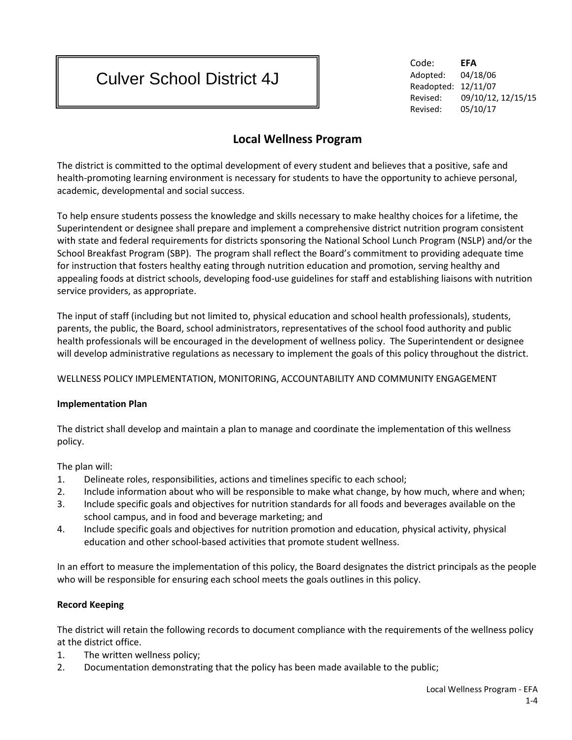# Culver School District 4J

Code: **EFA** Adopted: 04/18/06 Readopted: 12/11/07 Revised: 09/10/12, 12/15/15 Revised: 05/10/17

# **Local Wellness Program**

The district is committed to the optimal development of every student and believes that a positive, safe and health-promoting learning environment is necessary for students to have the opportunity to achieve personal, academic, developmental and social success.

To help ensure students possess the knowledge and skills necessary to make healthy choices for a lifetime, the Superintendent or designee shall prepare and implement a comprehensive district nutrition program consistent with state and federal requirements for districts sponsoring the National School Lunch Program (NSLP) and/or the School Breakfast Program (SBP). The program shall reflect the Board's commitment to providing adequate time for instruction that fosters healthy eating through nutrition education and promotion, serving healthy and appealing foods at district schools, developing food-use guidelines for staff and establishing liaisons with nutrition service providers, as appropriate.

The input of staff (including but not limited to, physical education and school health professionals), students, parents, the public, the Board, school administrators, representatives of the school food authority and public health professionals will be encouraged in the development of wellness policy. The Superintendent or designee will develop administrative regulations as necessary to implement the goals of this policy throughout the district.

WELLNESS POLICY IMPLEMENTATION, MONITORING, ACCOUNTABILITY AND COMMUNITY ENGAGEMENT

# **Implementation Plan**

The district shall develop and maintain a plan to manage and coordinate the implementation of this wellness policy.

The plan will:

- 1. Delineate roles, responsibilities, actions and timelines specific to each school;
- 2. Include information about who will be responsible to make what change, by how much, where and when;
- 3. Include specific goals and objectives for nutrition standards for all foods and beverages available on the school campus, and in food and beverage marketing; and
- 4. Include specific goals and objectives for nutrition promotion and education, physical activity, physical education and other school-based activities that promote student wellness.

In an effort to measure the implementation of this policy, the Board designates the district principals as the people who will be responsible for ensuring each school meets the goals outlines in this policy.

# **Record Keeping**

The district will retain the following records to document compliance with the requirements of the wellness policy at the district office.

- 1. The written wellness policy;
- 2. Documentation demonstrating that the policy has been made available to the public;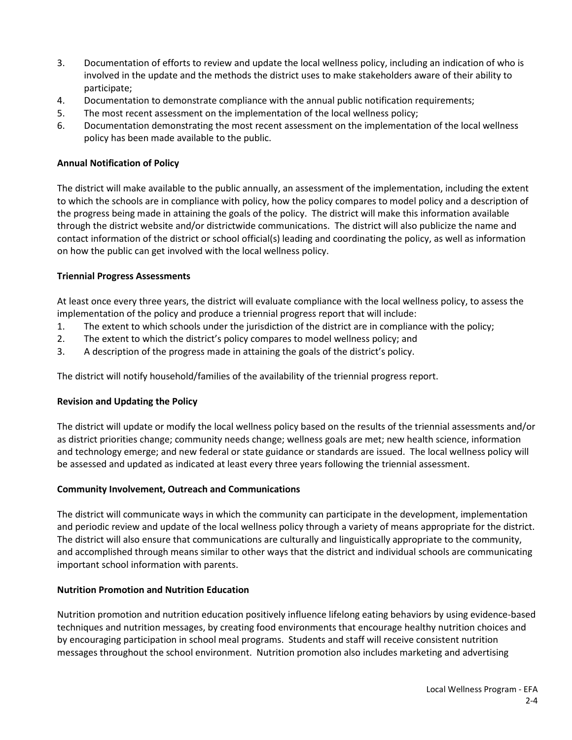- 3. Documentation of efforts to review and update the local wellness policy, including an indication of who is involved in the update and the methods the district uses to make stakeholders aware of their ability to participate;
- 4. Documentation to demonstrate compliance with the annual public notification requirements;
- 5. The most recent assessment on the implementation of the local wellness policy;
- 6. Documentation demonstrating the most recent assessment on the implementation of the local wellness policy has been made available to the public.

#### **Annual Notification of Policy**

The district will make available to the public annually, an assessment of the implementation, including the extent to which the schools are in compliance with policy, how the policy compares to model policy and a description of the progress being made in attaining the goals of the policy. The district will make this information available through the district website and/or districtwide communications. The district will also publicize the name and contact information of the district or school official(s) leading and coordinating the policy, as well as information on how the public can get involved with the local wellness policy.

#### **Triennial Progress Assessments**

At least once every three years, the district will evaluate compliance with the local wellness policy, to assess the implementation of the policy and produce a triennial progress report that will include:

- 1. The extent to which schools under the jurisdiction of the district are in compliance with the policy;
- 2. The extent to which the district's policy compares to model wellness policy; and
- 3. A description of the progress made in attaining the goals of the district's policy.

The district will notify household/families of the availability of the triennial progress report.

#### **Revision and Updating the Policy**

The district will update or modify the local wellness policy based on the results of the triennial assessments and/or as district priorities change; community needs change; wellness goals are met; new health science, information and technology emerge; and new federal or state guidance or standards are issued. The local wellness policy will be assessed and updated as indicated at least every three years following the triennial assessment.

#### **Community Involvement, Outreach and Communications**

The district will communicate ways in which the community can participate in the development, implementation and periodic review and update of the local wellness policy through a variety of means appropriate for the district. The district will also ensure that communications are culturally and linguistically appropriate to the community, and accomplished through means similar to other ways that the district and individual schools are communicating important school information with parents.

#### **Nutrition Promotion and Nutrition Education**

Nutrition promotion and nutrition education positively influence lifelong eating behaviors by using evidence-based techniques and nutrition messages, by creating food environments that encourage healthy nutrition choices and by encouraging participation in school meal programs. Students and staff will receive consistent nutrition messages throughout the school environment. Nutrition promotion also includes marketing and advertising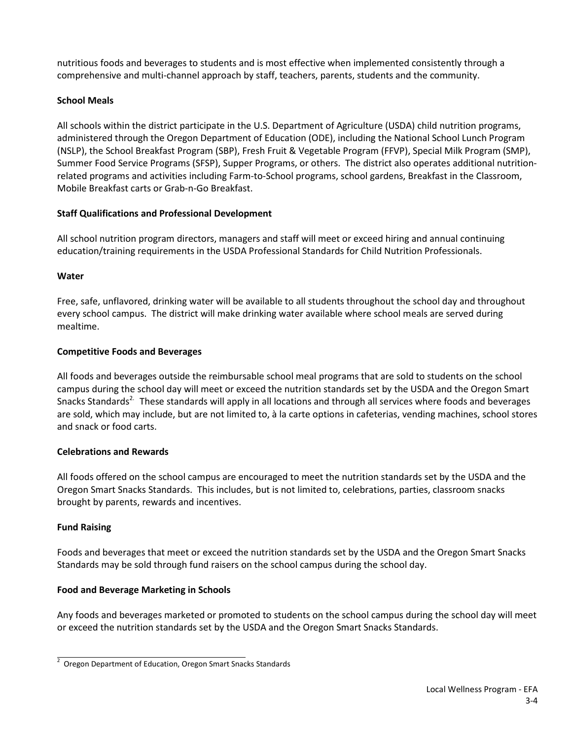nutritious foods and beverages to students and is most effective when implemented consistently through a comprehensive and multi-channel approach by staff, teachers, parents, students and the community.

# **School Meals**

All schools within the district participate in the U.S. Department of Agriculture (USDA) child nutrition programs, administered through the Oregon Department of Education (ODE), including the National School Lunch Program (NSLP), the School Breakfast Program (SBP), Fresh Fruit & Vegetable Program (FFVP), Special Milk Program (SMP), Summer Food Service Programs (SFSP), Supper Programs, or others. The district also operates additional nutritionrelated programs and activities including Farm-to-School programs, school gardens, Breakfast in the Classroom, Mobile Breakfast carts or Grab-n-Go Breakfast.

#### **Staff Qualifications and Professional Development**

All school nutrition program directors, managers and staff will meet or exceed hiring and annual continuing education/training requirements in the USDA Professional Standards for Child Nutrition Professionals.

#### **Water**

Free, safe, unflavored, drinking water will be available to all students throughout the school day and throughout every school campus. The district will make drinking water available where school meals are served during mealtime.

#### **Competitive Foods and Beverages**

All foods and beverages outside the reimbursable school meal programs that are sold to students on the school campus during the school day will meet or exceed the nutrition standards set by the USDA and the Oregon Smart Snacks Standards<sup>2.</sup> These standards will apply in all locations and through all services where foods and beverages are sold, which may include, but are not limited to, à la carte options in cafeterias, vending machines, school stores and snack or food carts.

#### **Celebrations and Rewards**

All foods offered on the school campus are encouraged to meet the nutrition standards set by the USDA and the Oregon Smart Snacks Standards. This includes, but is not limited to, celebrations, parties, classroom snacks brought by parents, rewards and incentives.

# **Fund Raising**

Foods and beverages that meet or exceed the nutrition standards set by the USDA and the Oregon Smart Snacks Standards may be sold through fund raisers on the school campus during the school day.

#### **Food and Beverage Marketing in Schools**

Any foods and beverages marketed or promoted to students on the school campus during the school day will meet or exceed the nutrition standards set by the USDA and the Oregon Smart Snacks Standards.

<sup>2</sup> Oregon Department of Education, Oregon Smart Snacks Standards